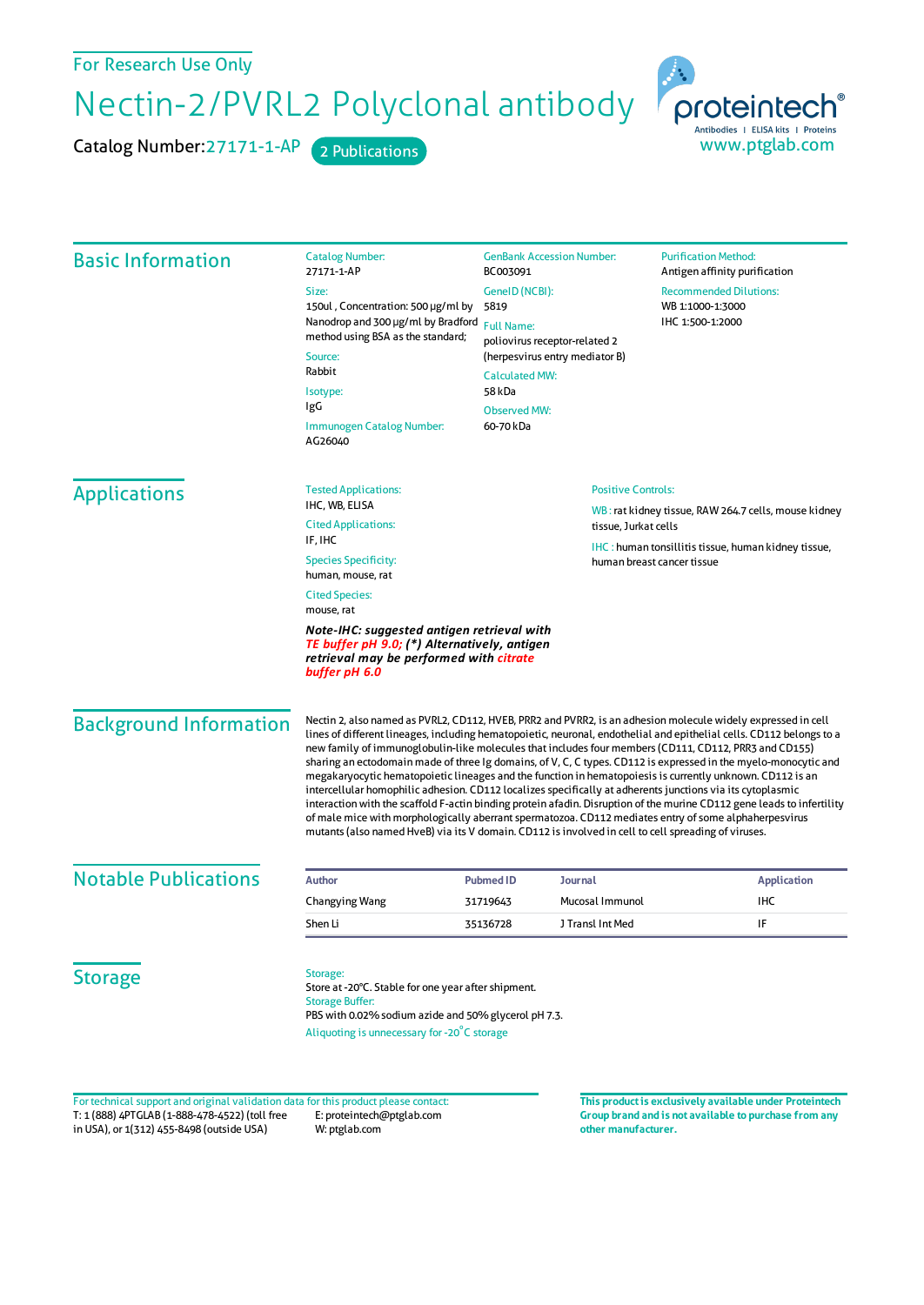For Research Use Only

Nectin-2/PVRL2 Polyclonal antibody

Catalog Number: 27171-1-AP 2 Publications



| <b>Basic Information</b>    | <b>Catalog Number:</b><br>27171-1-AP                                                                                                                                                                   | <b>GenBank Accession Number:</b><br>BC003091<br>GenelD (NCBI):<br>5819<br><b>Full Name:</b><br>poliovirus receptor-related 2 |                                | <b>Purification Method:</b><br>Antigen affinity purification<br><b>Recommended Dilutions:</b><br>WB 1:1000-1:3000<br>IHC 1:500-1:2000 |                               |
|-----------------------------|--------------------------------------------------------------------------------------------------------------------------------------------------------------------------------------------------------|------------------------------------------------------------------------------------------------------------------------------|--------------------------------|---------------------------------------------------------------------------------------------------------------------------------------|-------------------------------|
|                             | Size:<br>150ul, Concentration: 500 µg/ml by<br>Nanodrop and 300 µg/ml by Bradford<br>method using BSA as the standard;<br>Source:<br>Rabbit<br>Isotype:<br>IgG<br>Immunogen Catalog Number:<br>AG26040 |                                                                                                                              |                                |                                                                                                                                       |                               |
|                             |                                                                                                                                                                                                        | <b>Calculated MW:</b><br>58 kDa<br><b>Observed MW:</b><br>60-70 kDa                                                          | (herpesvirus entry mediator B) |                                                                                                                                       |                               |
| <b>Applications</b>         | <b>Tested Applications:</b><br>IHC, WB, ELISA<br><b>Cited Applications:</b>                                                                                                                            | <b>Positive Controls:</b><br>tissue, Jurkat cells                                                                            |                                | WB: rat kidney tissue, RAW 264.7 cells, mouse kidney                                                                                  |                               |
|                             | IF, IHC<br><b>Species Specificity:</b><br>human, mouse, rat                                                                                                                                            |                                                                                                                              |                                | <b>IHC</b> : human tonsillitis tissue, human kidney tissue,<br>human breast cancer tissue                                             |                               |
|                             | <b>Cited Species:</b><br>mouse, rat<br>Note-IHC: suggested antigen retrieval with<br>TE buffer pH 9.0; (*) Alternatively, antigen<br>retrieval may be performed with citrate<br>buffer pH 6.0          |                                                                                                                              |                                |                                                                                                                                       |                               |
|                             |                                                                                                                                                                                                        |                                                                                                                              |                                |                                                                                                                                       | <b>Background Information</b> |
| <b>Notable Publications</b> | <b>Author</b>                                                                                                                                                                                          | <b>Pubmed ID</b>                                                                                                             | <b>Journal</b>                 | <b>Application</b>                                                                                                                    |                               |
|                             | Changying Wang                                                                                                                                                                                         | 31719643                                                                                                                     | Mucosal Immunol                | IHC                                                                                                                                   |                               |
|                             | Shen Li                                                                                                                                                                                                | 35136728                                                                                                                     | J Transl Int Med               | IF                                                                                                                                    |                               |
| <b>Storage</b>              | Storage:<br>Store at -20°C. Stable for one year after shipment.<br><b>Storage Buffer:</b><br>PBS with 0.02% sodium azide and 50% glycerol pH 7.3.<br>Aliquoting is unnecessary for -20°C storage       |                                                                                                                              |                                |                                                                                                                                       |                               |

T: 1 (888) 4PTGLAB (1-888-478-4522) (toll free in USA), or 1(312) 455-8498 (outside USA) E: proteintech@ptglab.com W: ptglab.com Fortechnical support and original validation data forthis product please contact: **This productis exclusively available under Proteintech**

**Group brand and is not available to purchase from any other manufacturer.**